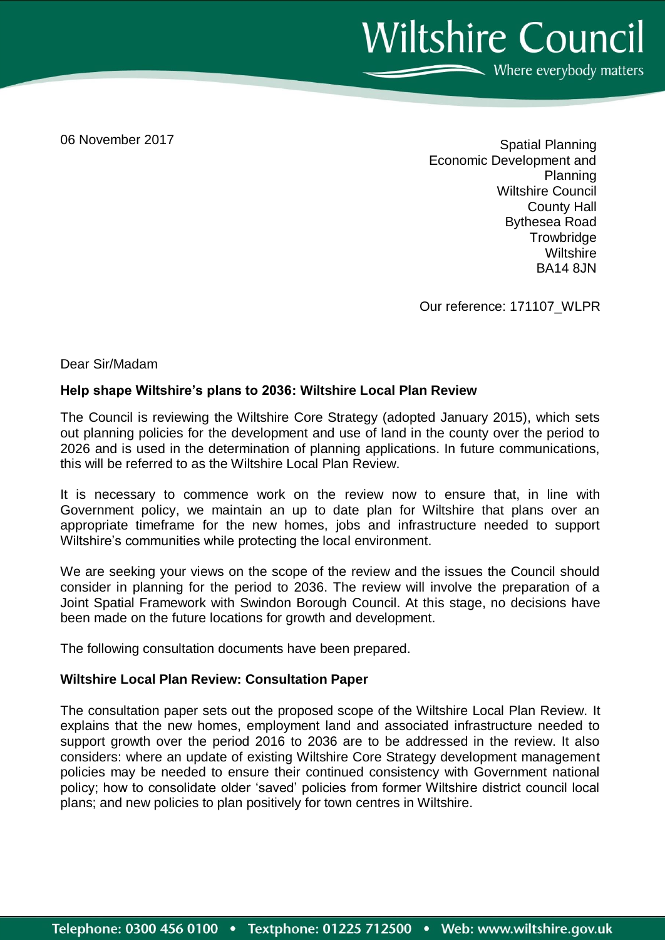**Wiltshire Council** Where everybody matters

06 November 2017

Spatial Planning Economic Development and Planning Wiltshire Council County Hall Bythesea Road **Trowbridge Wiltshire** BA14 8JN

Our reference: 171107\_WLPR

Dear Sir/Madam

## **Help shape Wiltshire's plans to 2036: Wiltshire Local Plan Review**

The Council is reviewing the Wiltshire Core Strategy (adopted January 2015), which sets out planning policies for the development and use of land in the county over the period to 2026 and is used in the determination of planning applications. In future communications, this will be referred to as the Wiltshire Local Plan Review.

It is necessary to commence work on the review now to ensure that, in line with Government policy, we maintain an up to date plan for Wiltshire that plans over an appropriate timeframe for the new homes, jobs and infrastructure needed to support Wiltshire's communities while protecting the local environment.

We are seeking your views on the scope of the review and the issues the Council should consider in planning for the period to 2036. The review will involve the preparation of a Joint Spatial Framework with Swindon Borough Council. At this stage, no decisions have been made on the future locations for growth and development.

The following consultation documents have been prepared.

## **Wiltshire Local Plan Review: Consultation Paper**

The consultation paper sets out the proposed scope of the Wiltshire Local Plan Review. It explains that the new homes, employment land and associated infrastructure needed to support growth over the period 2016 to 2036 are to be addressed in the review. It also considers: where an update of existing Wiltshire Core Strategy development management policies may be needed to ensure their continued consistency with Government national policy; how to consolidate older 'saved' policies from former Wiltshire district council local plans; and new policies to plan positively for town centres in Wiltshire.